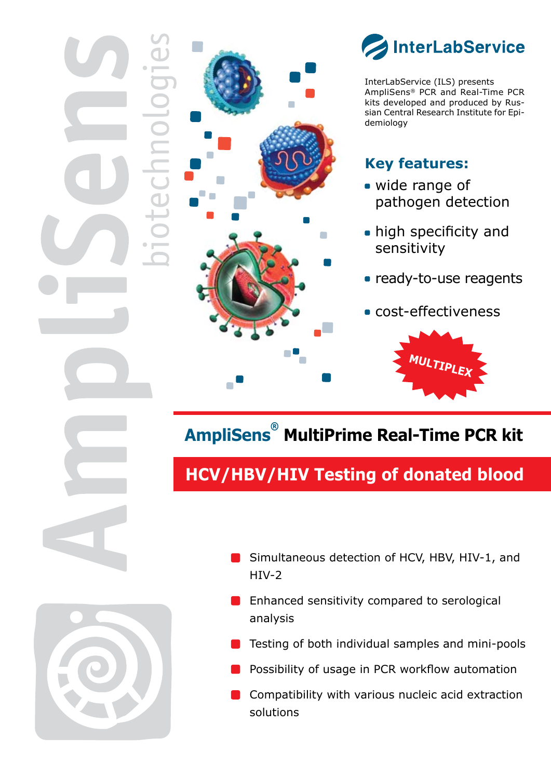

InterLabService (ILS) presents AmpliSens® PCR and Real-Time PCR kits developed and produced by Russian Central Research Institute for Epidemiology

### **Key features:**

- wide range of pathogen detection
- high specificity and sensitivity
- **Party-to-use reagents**
- cost-effectiveness



# **AmpliSens® MultiPrime Real-Time PCR kit**

# **HCV/HBV/HIV Testing of donated blood**



- Simultaneous detection of HCV, HBV, HIV-1, and HIV-2
- Enhanced sensitivity compared to serological analysis
- Testing of both individual samples and mini-pools
- Possibility of usage in PCR workflow automation
- Compatibility with various nucleic acid extraction solutions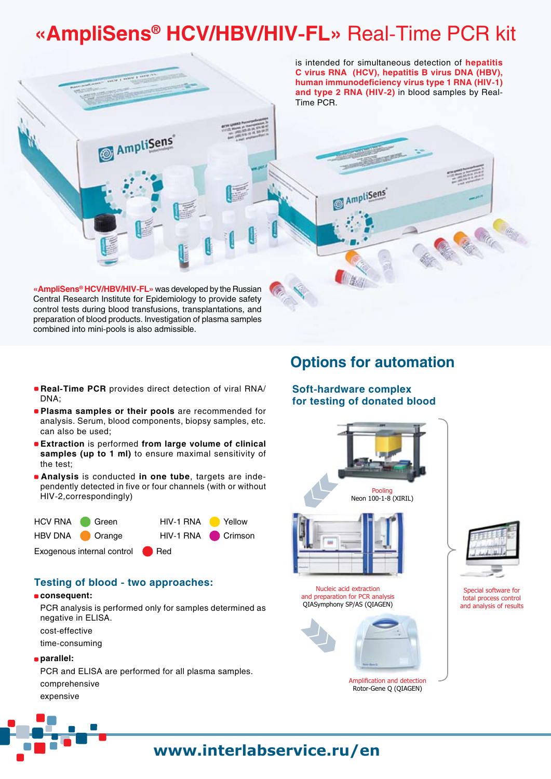# **«AmpliSens® HCV/HBV/HIV-FL»** Real-Time PCR kit



combined into mini-pools is also admissible.

- **Real-Time PCR** provides direct detection of viral RNA/ DNA;
- **Plasma samples or their pools** are recommended for analysis. Serum, blood components, biopsy samples, etc. can also be used;
- **Extraction** is performed **from large volume of clinical samples (up to 1 ml)** to ensure maximal sensitivity of the test;
- **Analysis** is conducted **in one tube**, targets are independently detected in five or four channels (with or without HIV-2,correspondingly)



### **Testing of blood - two approaches:**

#### **consequent:**

PCR analysis is performed only for samples determined as negative in ELISA.

cost-effective

time-consuming

#### **parallel:**

PCR and ELISA are performed for all plasma samples. comprehensive expensive

### **Options for automation**

### **Soft-hardware complex for testing of donated blood**



Nucleic acid extraction and preparation for PCR analysis QIASymphony SP/AS (QIAGEN)



Amplification and detection Rotor-Gene Q (QIAGEN)



Special software for total process control and analysis of results

### **www.interlabservice.ru/en**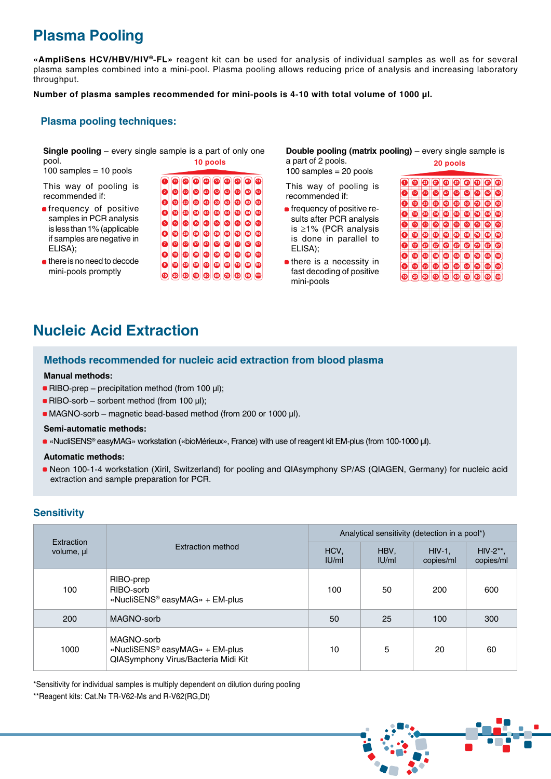## **Plasma Pooling**

**«AmpliSens HCV/HBV/HIV®-FL»** reagent kit can be used for analysis of individual samples as well as for several plasma samples combined into a mini-pool. Plasma pooling allows reducing price of analysis and increasing laboratory throughput.

**Number of plasma samples recommended for mini-pools is 4-10 with total volume of 1000 μl.**

### **Plasma pooling techniques:**

**Single pooling** – every single sample is a part of only one pool. **10 pools**

samples =  $10$  pools

This way of pooling is recommended if:

- **n**frequency of positive samples in PCR analysis is less than 1% (applicable if samples are negative in ELISA);
- **there is no need to decode** mini-pools promptly

**Double pooling (matrix pooling)** – every single sample is a part of 2 pools. 100 samples  $= 20$  pools **20 pools**

This way of pooling is recommended if:

- **frequency of positive re**sults after PCR analysis is ≥1% (PCR analysis is done in parallel to ELISA);
- $\blacksquare$  there is a necessity in fast decoding of positive mini-pools



### **Nucleic Acid Extraction**

### **Methods recommended for nucleic acid extraction from blood plasma**

#### **Manual methods:**

- RIBO-prep precipitation method (from 100 μl);
- RIBO-sorb sorbent method (from 100 μl);
- MAGNO-sorb magnetic bead-based method (from 200 or 1000 μl).

#### **Semi-automatic methods:**

• «NucliSENS® easyMAG» workstation («bioMérieux», France) with use of reagent kit EM-plus (from 100-1000 μl).

#### **Automatic methods:**

• Neon 100-1-4 workstation (Xiril, Switzerland) for pooling and QIAsymphony SP/AS (QIAGEN, Germany) for nucleic acid extraction and sample preparation for PCR.

### **Sensitivity**

| Extraction<br>volume, ul | <b>Extraction method</b>                                                                        | Analytical sensitivity (detection in a pool*) |               |                        |                          |
|--------------------------|-------------------------------------------------------------------------------------------------|-----------------------------------------------|---------------|------------------------|--------------------------|
|                          |                                                                                                 | HCV,<br>IU/ml                                 | HBV,<br>IU/ml | $HIV-1$ ,<br>copies/ml | $HIV-2**$ .<br>copies/ml |
| 100                      | RIBO-prep<br>RIBO-sorb<br>«NucliSENS <sup>®</sup> easyMAG» + EM-plus                            | 100                                           | 50            | 200                    | 600                      |
| 200                      | MAGNO-sorb                                                                                      | 50                                            | 25            | 100                    | 300                      |
| 1000                     | MAGNO-sorb<br>«NucliSENS <sup>®</sup> easyMAG» + EM-plus<br>QIASymphony Virus/Bacteria Midi Kit | 10                                            | 5             | 20                     | 60                       |

\*Sensitivity for individual samples is multiply dependent on dilution during pooling

\*\*Reagent kits: Cat.№ TR-V62-Ms and R-V62(RG,Dt)